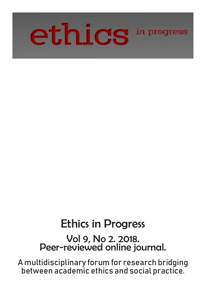

# Ethics in Progress

Vol 9, No 2. 2018. Peer-reviewed online journal.

A multidisciplinary forum for research bridging between academic ethics and social practice.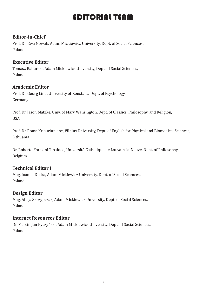## EDITORIAL TEAM

#### **Editor-in-Chief**

Prof. Dr. Ewa Nowak, Adam Mickiewicz University, Dept. of Social Sciences, Poland

#### **Executive Editor**

Tomasz Raburski, Adam Mickiewicz University, Dept. of Social Sciences, Poland

#### **Academic Editor**

Prof. Dr. Georg Lind, University of Konstanz, Dept. of Psychology, Germany

Prof. Dr. Jason Matzke, Univ. of Mary Wahsington, Dept. of Classics, Philosophy, and Religion, USA

Prof. Dr. Roma Kriauciuniene, Vilnius University, Dept. of English for Physical and Biomedical Sciences, Lithuania

Dr. Roberto Franzini Tibaldeo, Université Catholique de Louvain-la-Neuve, Dept. of Philosophy, Belgium

#### **Technical Editor I**

Mag. Joanna Dutka, Adam Mickiewicz University, Dept. of Social Sciences, Poland

#### **Design Editor**

Mag. Alicja Skrzypczak, Adam Mickiewicz University, Dept. of Social Sciences, Poland

#### **Internet Resources Editor**

Dr. Marcin Jan Byczyński, Adam Mickiewicz University, Dept. of Social Sciences, Poland